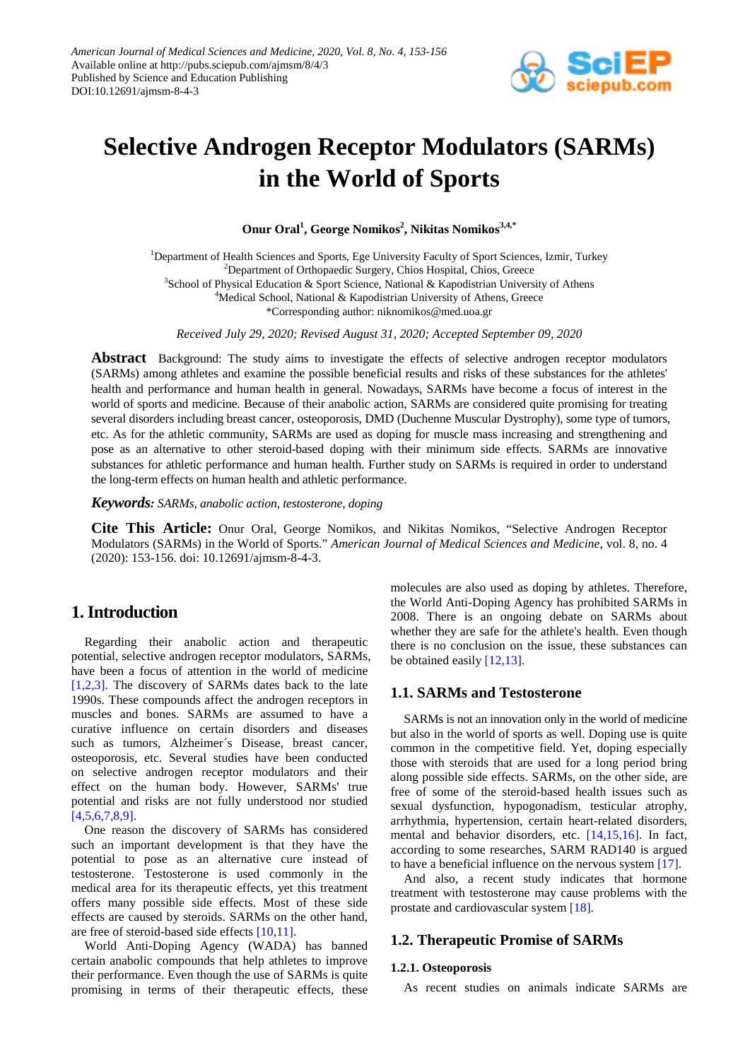

# **Selective Androgen Receptor Modulators (SARMs) in the World of Sports**

Onur Oral<sup>1</sup>, George Nomikos<sup>2</sup>, Nikitas Nomikos<sup>3,4,\*</sup>

<sup>1</sup>Department of Health Sciences and Sports, Ege University Faculty of Sport Sciences, Izmir, Turkey <sup>2</sup>Department of Orthopaedic Surgery, Chios Hospital, Chios, Greece <sup>3</sup>School of Physical Education & Sport Science, National & Kapodistrian University of Athens <sup>4</sup>Medical School, National & Kapodistrian University of Athens, Greece \*Corresponding author: niknomikos@med.uoa.gr

*Received July 29, 2020; Revised August 31, 2020; Accepted September 09, 2020*

**Abstract** Background: The study aims to investigate the effects of selective androgen receptor modulators (SARMs) among athletes and examine the possible beneficial results and risks of these substances for the athletes' health and performance and human health in general. Nowadays, SARMs have become a focus of interest in the world of sports and medicine. Because of their anabolic action, SARMs are considered quite promising for treating several disorders including breast cancer, osteoporosis, DMD (Duchenne Muscular Dystrophy), some type of tumors, etc. As for the athletic community, SARMs are used as doping for muscle mass increasing and strengthening and pose as an alternative to other steroid-based doping with their minimum side effects. SARMs are innovative substances for athletic performance and human health. Further study on SARMs is required in order to understand the long-term effects on human health and athletic performance.

*Keywords: SARMs, anabolic action, testosterone, doping*

**Cite This Article:** Onur Oral, George Nomikos, and Nikitas Nomikos, "Selective Androgen Receptor Modulators (SARMs) in the World of Sports." *American Journal of Medical Sciences and Medicine*, vol. 8, no. 4 (2020): 153-156. doi: 10.12691/ajmsm-8-4-3.

# **1. Introduction**

Regarding their anabolic action and therapeutic potential, selective androgen receptor modulators, SARMs, have been a focus of attention in the world of medicine [\[1,2,3\].](#page-2-0) The discovery of SARMs dates back to the late 1990s. These compounds affect the androgen receptors in muscles and bones. SARMs are assumed to have a curative influence on certain disorders and diseases such as tumors, Alzheimer´s Disease, breast cancer, osteoporosis, etc. Several studies have been conducted on selective androgen receptor modulators and their effect on the human body. However, SARMs' true potential and risks are not fully understood nor studied [\[4,5,6,7,8,9\].](#page-2-1)

One reason the discovery of SARMs has considered such an important development is that they have the potential to pose as an alternative cure instead of testosterone. Testosterone is used commonly in the medical area for its therapeutic effects, yet this treatment offers many possible side effects. Most of these side effects are caused by steroids. SARMs on the other hand, are free of steroid-based side effects [\[10,11\].](#page-2-2)

World Anti-Doping Agency (WADA) has banned certain anabolic compounds that help athletes to improve their performance. Even though the use of SARMs is quite promising in terms of their therapeutic effects, these molecules are also used as doping by athletes. Therefore, the World Anti-Doping Agency has prohibited SARMs in 2008. There is an ongoing debate on SARMs about whether they are safe for the athlete's health. Even though there is no conclusion on the issue, these substances can be obtained easily [\[12,13\].](#page-2-3)

## **1.1. SARMs and Testosterone**

SARMs is not an innovation only in the world of medicine but also in the world of sports as well. Doping use is quite common in the competitive field. Yet, doping especially those with steroids that are used for a long period bring along possible side effects. SARMs, on the other side, are free of some of the steroid-based health issues such as sexual dysfunction, hypogonadism, testicular atrophy, arrhythmia, hypertension, certain heart-related disorders, mental and behavior disorders, etc. [\[14,15,16\].](#page-2-4) In fact, according to some researches, SARM RAD140 is argued to have a beneficial influence on the nervous system [\[17\].](#page-2-5)

And also, a recent study indicates that hormone treatment with testosterone may cause problems with the prostate and cardiovascular system [\[18\].](#page-2-6)

## **1.2. Therapeutic Promise of SARMs**

#### **1.2.1. Osteoporosis**

As recent studies on animals indicate SARMs are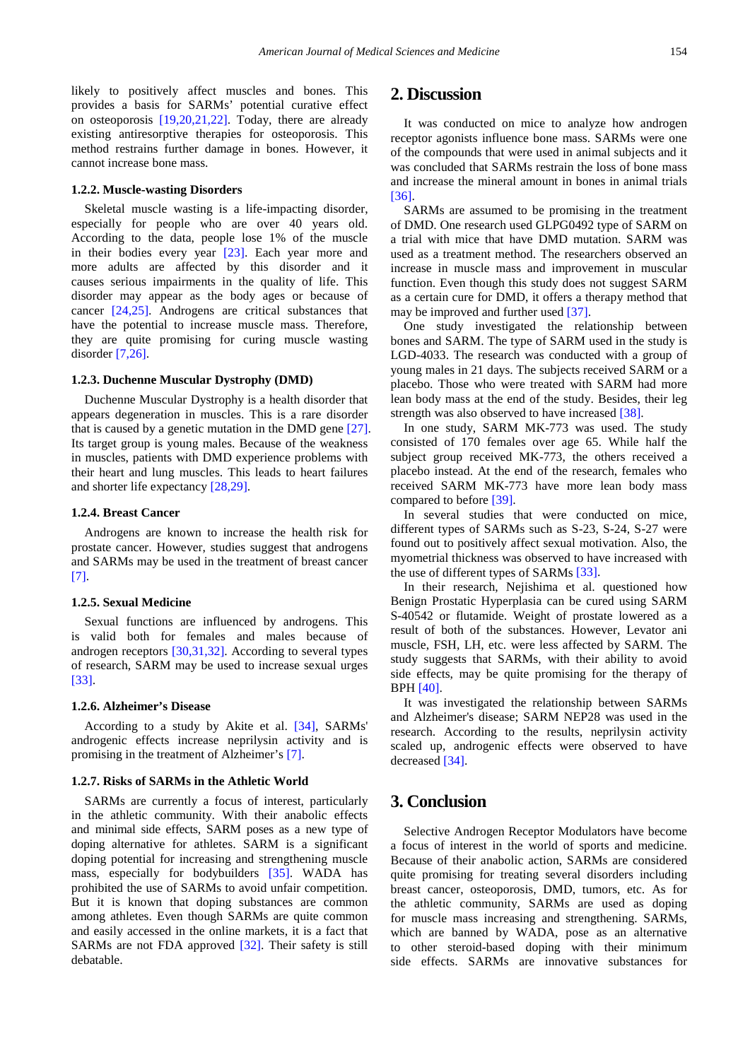likely to positively affect muscles and bones. This provides a basis for SARMs' potential curative effect on osteoporosis [\[19,20,21,22\].](#page-2-7) Today, there are already existing antiresorptive therapies for osteoporosis. This method restrains further damage in bones. However, it cannot increase bone mass.

#### **1.2.2. Muscle-wasting Disorders**

Skeletal muscle wasting is a life-impacting disorder, especially for people who are over 40 years old. According to the data, people lose 1% of the muscle in their bodies every year [\[23\].](#page-2-8) Each year more and more adults are affected by this disorder and it causes serious impairments in the quality of life. This disorder may appear as the body ages or because of cancer [\[24,25\].](#page-2-9) Androgens are critical substances that have the potential to increase muscle mass. Therefore, they are quite promising for curing muscle wasting disorder [\[7,26\].](#page-2-10)

#### **1.2.3. Duchenne Muscular Dystrophy (DMD)**

Duchenne Muscular Dystrophy is a health disorder that appears degeneration in muscles. This is a rare disorder that is caused by a genetic mutation in the DMD gene [\[27\].](#page-2-11) Its target group is young males. Because of the weakness in muscles, patients with DMD experience problems with their heart and lung muscles. This leads to heart failures and shorter life expectancy [\[28,29\].](#page-2-12)

#### **1.2.4. Breast Cancer**

Androgens are known to increase the health risk for prostate cancer. However, studies suggest that androgens and SARMs may be used in the treatment of breast cancer [\[7\].](#page-2-10)

#### **1.2.5. Sexual Medicine**

Sexual functions are influenced by androgens. This is valid both for females and males because of androgen receptors [\[30,31,32\].](#page-2-13) According to several types of research, SARM may be used to increase sexual urges [\[33\].](#page-2-14)

### **1.2.6. Alzheimer's Disease**

According to a study by Akite et al. [\[34\],](#page-2-15) SARMs' androgenic effects increase neprilysin activity and is promising in the treatment of Alzheimer's [\[7\].](#page-2-10)

#### **1.2.7. Risks of SARMs in the Athletic World**

SARMs are currently a focus of interest, particularly in the athletic community. With their anabolic effects and minimal side effects, SARM poses as a new type of doping alternative for athletes. SARM is a significant doping potential for increasing and strengthening muscle mass, especially for bodybuilders [\[35\].](#page-2-16) WADA has prohibited the use of SARMs to avoid unfair competition. But it is known that doping substances are common among athletes. Even though SARMs are quite common and easily accessed in the online markets, it is a fact that SARMs are not FDA approved [\[32\].](#page-2-17) Their safety is still debatable.

# **2. Discussion**

It was conducted on mice to analyze how androgen receptor agonists influence bone mass. SARMs were one of the compounds that were used in animal subjects and it was concluded that SARMs restrain the loss of bone mass and increase the mineral amount in bones in animal trials [\[36\].](#page-2-18)

SARMs are assumed to be promising in the treatment of DMD. One research used GLPG0492 type of SARM on a trial with mice that have DMD mutation. SARM was used as a treatment method. The researchers observed an increase in muscle mass and improvement in muscular function. Even though this study does not suggest SARM as a certain cure for DMD, it offers a therapy method that may be improved and further used [\[37\].](#page-2-19)

One study investigated the relationship between bones and SARM. The type of SARM used in the study is LGD-4033. The research was conducted with a group of young males in 21 days. The subjects received SARM or a placebo. Those who were treated with SARM had more lean body mass at the end of the study. Besides, their leg strength was also observed to have increased [\[38\].](#page-2-20)

In one study, SARM MK-773 was used. The study consisted of 170 females over age 65. While half the subject group received MK-773, the others received a placebo instead. At the end of the research, females who received SARM MK-773 have more lean body mass compared to before [\[39\].](#page-2-21)

In several studies that were conducted on mice, different types of SARMs such as S-23, S-24, S-27 were found out to positively affect sexual motivation. Also, the myometrial thickness was observed to have increased with the use of different types of SARM[s \[33\].](#page-2-14)

In their research, Nejishima et al. questioned how Benign Prostatic Hyperplasia can be cured using SARM S-40542 or flutamide. Weight of prostate lowered as a result of both of the substances. However, Levator ani muscle, FSH, LH, etc. were less affected by SARM. The study suggests that SARMs, with their ability to avoid side effects, may be quite promising for the therapy of BPH [\[40\].](#page-3-0)

It was investigated the relationship between SARMs and Alzheimer's disease; SARM NEP28 was used in the research. According to the results, neprilysin activity scaled up, androgenic effects were observed to have decreased [\[34\].](#page-2-15)

## **3. Conclusion**

Selective Androgen Receptor Modulators have become a focus of interest in the world of sports and medicine. Because of their anabolic action, SARMs are considered quite promising for treating several disorders including breast cancer, osteoporosis, DMD, tumors, etc. As for the athletic community, SARMs are used as doping for muscle mass increasing and strengthening. SARMs, which are banned by WADA, pose as an alternative to other steroid-based doping with their minimum side effects. SARMs are innovative substances for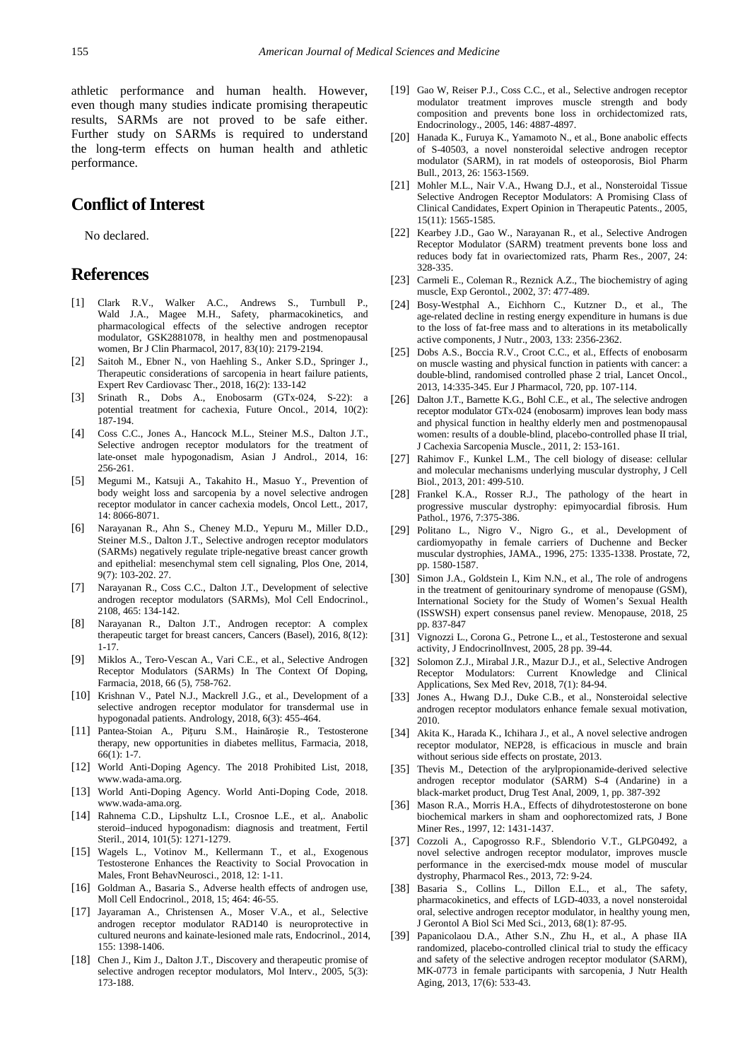athletic performance and human health. However, even though many studies indicate promising therapeutic results, SARMs are not proved to be safe either. Further study on SARMs is required to understand the long-term effects on human health and athletic performance.

# **Conflict of Interest**

No declared.

## **References**

- <span id="page-2-0"></span>[1] Clark R.V., Walker A.C., Andrews S., Turnbull P., Wald J.A., Magee M.H., Safety, pharmacokinetics, and pharmacological effects of the selective androgen receptor modulator, GSK2881078, in healthy men and postmenopausal women, Br J Clin Pharmacol, 2017, 83(10): 2179-2194.
- [2] Saitoh M., Ebner N., von Haehling S., Anker S.D., Springer J., Therapeutic considerations of sarcopenia in heart failure patients, Expert Rev Cardiovasc Ther., 2018, 16(2): 133-142
- [3] Srinath R., Dobs A., Enobosarm (GTx-024, S-22): a potential treatment for cachexia, Future Oncol., 2014, 10(2): 187-194.
- <span id="page-2-1"></span>[4] Coss C.C., Jones A., Hancock M.L., Steiner M.S., Dalton J.T., Selective androgen receptor modulators for the treatment of late-onset male hypogonadism, Asian J Androl., 2014, 16: 256-261.
- [5] Megumi M., Katsuji A., Takahito H., Masuo Y., Prevention of body weight loss and sarcopenia by a novel selective androgen receptor modulator in cancer cachexia models, Oncol Lett., 2017, 14: 8066-8071.
- [6] Narayanan R., Ahn S., Cheney M.D., Yepuru M., Miller D.D., Steiner M.S., Dalton J.T., Selective androgen receptor modulators (SARMs) negatively regulate triple-negative breast cancer growth and epithelial: mesenchymal stem cell signaling, Plos One, 2014, 9(7): 103-202. 27.
- <span id="page-2-10"></span>[7] Narayanan R., Coss C.C., Dalton J.T., Development of selective androgen receptor modulators (SARMs), Mol Cell Endocrinol., 2108, 465: 134-142.
- [8] Narayanan R., Dalton J.T., Androgen receptor: A complex therapeutic target for breast cancers, Cancers (Basel), 2016, 8(12): 1-17.
- [9] Miklos A., Tero-Vescan A., Vari C.E., et al., Selective Androgen Receptor Modulators (SARMs) In The Context Of Doping, Farmacia, 2018, 66 (5), 758-762.
- <span id="page-2-2"></span>[10] Krishnan V., Patel N.J., Mackrell J.G., et al., Development of a selective androgen receptor modulator for transdermal use in hypogonadal patients. Andrology, 2018, 6(3): 455-464.
- [11] Pantea-Stoian A., Pițuru S.M., Hainăroșie R., Testosterone therapy, new opportunities in diabetes mellitus, Farmacia, 2018, 66(1): 1-7.
- <span id="page-2-3"></span>[12] World Anti-Doping Agency. The 2018 Prohibited List, 2018, www.wada-ama.org.
- [13] World Anti-Doping Agency. World Anti-Doping Code, 2018. www.wada-ama.org.
- <span id="page-2-4"></span>[14] Rahnema C.D., Lipshultz L.I., Crosnoe L.E., et al,. Anabolic steroid–induced hypogonadism: diagnosis and treatment, Fertil Steril., 2014, 101(5): 1271-1279.
- [15] Wagels L., Votinov M., Kellermann T., et al., Exogenous Testosterone Enhances the Reactivity to Social Provocation in Males, Front BehavNeurosci., 2018, 12: 1-11.
- [16] Goldman A., Basaria S., Adverse health effects of androgen use, Moll Cell Endocrinol., 2018, 15; 464: 46-55.
- <span id="page-2-5"></span>[17] Jayaraman A., Christensen A., Moser V.A., et al., Selective androgen receptor modulator RAD140 is neuroprotective in cultured neurons and kainate-lesioned male rats, Endocrinol., 2014, 155: 1398-1406.
- <span id="page-2-6"></span>[18] Chen J., Kim J., Dalton J.T., Discovery and therapeutic promise of selective androgen receptor modulators, Mol Interv., 2005, 5(3): 173-188.
- <span id="page-2-7"></span>[19] Gao W, Reiser P.J., Coss C.C., et al., Selective androgen receptor modulator treatment improves muscle strength and body composition and prevents bone loss in orchidectomized rats, Endocrinology., 2005, 146: 4887-4897.
- [20] Hanada K., Furuya K., Yamamoto N., et al., Bone anabolic effects of S-40503, a novel nonsteroidal selective androgen receptor modulator (SARM), in rat models of osteoporosis, Biol Pharm Bull., 2013, 26: 1563-1569.
- [21] Mohler M.L., Nair V.A., Hwang D.J., et al., Nonsteroidal Tissue Selective Androgen Receptor Modulators: A Promising Class of Clinical Candidates, Expert Opinion in Therapeutic Patents., 2005, 15(11): 1565-1585.
- [22] Kearbey J.D., Gao W., Narayanan R., et al., Selective Androgen Receptor Modulator (SARM) treatment prevents bone loss and reduces body fat in ovariectomized rats, Pharm Res., 2007, 24: 328-335.
- <span id="page-2-8"></span>[23] Carmeli E., Coleman R., Reznick A.Z., The biochemistry of aging muscle, Exp Gerontol., 2002, 37: 477-489.
- <span id="page-2-9"></span>[24] Bosy-Westphal A., Eichhorn C., Kutzner D., et al., The age-related decline in resting energy expenditure in humans is due to the loss of fat-free mass and to alterations in its metabolically active components, J Nutr., 2003, 133: 2356-2362.
- [25] Dobs A.S., Boccia R.V., Croot C.C., et al., Effects of enobosarm on muscle wasting and physical function in patients with cancer: a double-blind, randomised controlled phase 2 trial, Lancet Oncol., 2013, 14:335-345. Eur J Pharmacol, 720, pp. 107-114.
- [26] Dalton J.T., Barnette K.G., Bohl C.E., et al., The selective androgen receptor modulator GTx-024 (enobosarm) improves lean body mass and physical function in healthy elderly men and postmenopausal women: results of a double-blind, placebo-controlled phase II trial, J Cachexia Sarcopenia Muscle., 2011, 2: 153-161.
- <span id="page-2-11"></span>[27] Rahimov F., Kunkel L.M., The cell biology of disease: cellular and molecular mechanisms underlying muscular dystrophy, J Cell Biol., 2013, 201: 499-510.
- <span id="page-2-12"></span>[28] Frankel K.A., Rosser R.J., The pathology of the heart in progressive muscular dystrophy: epimyocardial fibrosis. Hum Pathol., 1976, 7:375-386.
- [29] Politano L., Nigro V., Nigro G., et al., Development of cardiomyopathy in female carriers of Duchenne and Becker muscular dystrophies, JAMA., 1996, 275: 1335-1338. Prostate, 72, pp. 1580-1587.
- <span id="page-2-13"></span>[30] Simon J.A., Goldstein I., Kim N.N., et al., The role of androgens in the treatment of genitourinary syndrome of menopause (GSM), International Society for the Study of Women's Sexual Health (ISSWSH) expert consensus panel review. Menopause, 2018, 25 pp. 837-847
- [31] Vignozzi L., Corona G., Petrone L., et al., Testosterone and sexual activity, J EndocrinolInvest, 2005, 28 pp. 39-44.
- <span id="page-2-17"></span>[32] Solomon Z.J., Mirabal J.R., Mazur D.J., et al., Selective Androgen Receptor Modulators: Current Knowledge and Clinical Applications, Sex Med Rev, 2018, 7(1): 84-94.
- <span id="page-2-14"></span>[33] Jones A., Hwang D.J., Duke C.B., et al., Nonsteroidal selective androgen receptor modulators enhance female sexual motivation, 2010.
- <span id="page-2-15"></span>[34] Akita K., Harada K., Ichihara J., et al., A novel selective androgen receptor modulator, NEP28, is efficacious in muscle and brain without serious side effects on prostate, 2013.
- <span id="page-2-16"></span>[35] Thevis M., Detection of the arylpropionamide-derived selective androgen receptor modulator (SARM) S-4 (Andarine) in a black-market product, Drug Test Anal, 2009, 1, pp. 387-392
- <span id="page-2-18"></span>[36] Mason R.A., Morris H.A., Effects of dihydrotestosterone on bone biochemical markers in sham and oophorectomized rats, J Bone Miner Res., 1997, 12: 1431-1437.
- <span id="page-2-19"></span>[37] Cozzoli A., Capogrosso R.F., Sblendorio V.T., GLPG0492, a novel selective androgen receptor modulator, improves muscle performance in the exercised-mdx mouse model of muscular dystrophy, Pharmacol Res., 2013, 72: 9-24.
- <span id="page-2-20"></span>[38] Basaria S., Collins L., Dillon E.L., et al., The safety, pharmacokinetics, and effects of LGD-4033, a novel nonsteroidal oral, selective androgen receptor modulator, in healthy young men, J Gerontol A Biol Sci Med Sci., 2013, 68(1): 87-95.
- <span id="page-2-21"></span>[39] Papanicolaou D.A., Ather S.N., Zhu H., et al., A phase IIA randomized, placebo-controlled clinical trial to study the efficacy and safety of the selective androgen receptor modulator (SARM), MK-0773 in female participants with sarcopenia, J Nutr Health Aging, 2013, 17(6): 533-43.